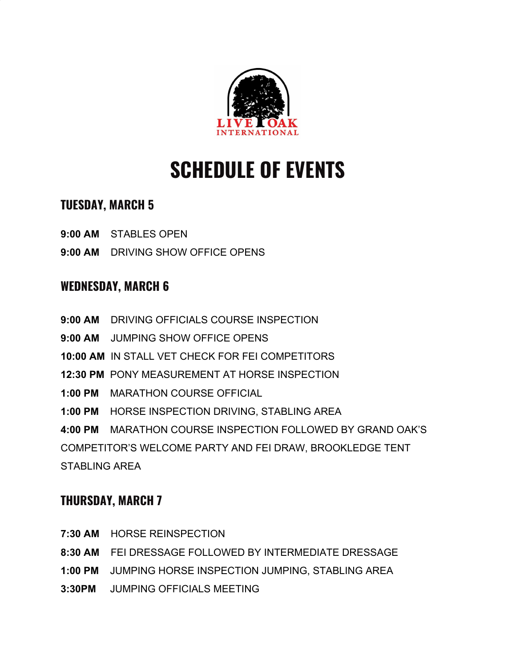

# **SCHEDULE OF EVENTS**

## **TUESDAY, MARCH 5**

- **9:00 AM** STABLES OPEN
- **9:00 AM** DRIVING SHOW OFFICE OPENS

### **WEDNESDAY, MARCH 6**

- **9:00 AM** DRIVING OFFICIALS COURSE INSPECTION
- **9:00 AM** JUMPING SHOW OFFICE OPENS
- **10:00 AM** IN STALL VET CHECK FOR FEI COMPETITORS
- **12:30 PM** PONY MEASUREMENT AT HORSE INSPECTION
- **1:00 PM** MARATHON COURSE OFFICIAL
- **1:00 PM** HORSE INSPECTION DRIVING, STABLING AREA

**4:00 PM** MARATHON COURSE INSPECTION FOLLOWED BY GRAND OAK'S COMPETITOR'S WELCOME PARTY AND FEI DRAW, BROOKLEDGE TENT STABLING AREA

# **THURSDAY, MARCH 7**

- **7:30 AM** HORSE REINSPECTION
- **8:30 AM** FEI DRESSAGE FOLLOWED BY INTERMEDIATE DRESSAGE
- **1:00 PM** JUMPING HORSE INSPECTION JUMPING, STABLING AREA
- **3:30PM** JUMPING OFFICIALS MEETING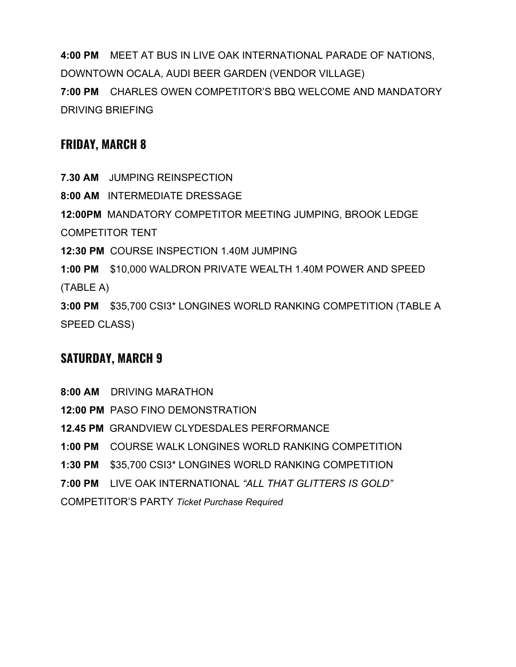**4:00 PM** MEET AT BUS IN LIVE OAK INTERNATIONAL PARADE OF NATIONS, DOWNTOWN OCALA, AUDI BEER GARDEN (VENDOR VILLAGE) **7:00 PM** CHARLES OWEN COMPETITOR'S BBQ WELCOME AND MANDATORY DRIVING BRIEFING

#### **FRIDAY, MARCH 8**

**7.30 AM** JUMPING REINSPECTION

**8:00 AM** INTERMEDIATE DRESSAGE

**12:00PM** MANDATORY COMPETITOR MEETING JUMPING, BROOK LEDGE COMPETITOR TENT

**12:30 PM** COURSE INSPECTION 1.40M JUMPING

**1:00 PM** \$10,000 WALDRON PRIVATE WEALTH 1.40M POWER AND SPEED (TABLE A)

**3:00 PM** \$35,700 CSI3\* LONGINES WORLD RANKING COMPETITION (TABLE A SPEED CLASS)

# **SATURDAY, MARCH 9**

**8:00 AM** DRIVING MARATHON **12:00 PM** PASO FINO DEMONSTRATION **12.45 PM** GRANDVIEW CLYDESDALES PERFORMANCE **1:00 PM** COURSE WALK LONGINES WORLD RANKING COMPETITION **1:30 PM** \$35,700 CSI3\* LONGINES WORLD RANKING COMPETITION **7:00 PM** LIVE OAK INTERNATIONAL *"ALL THAT GLITTERS IS GOLD"* COMPETITOR'S PARTY *Ticket Purchase Required*